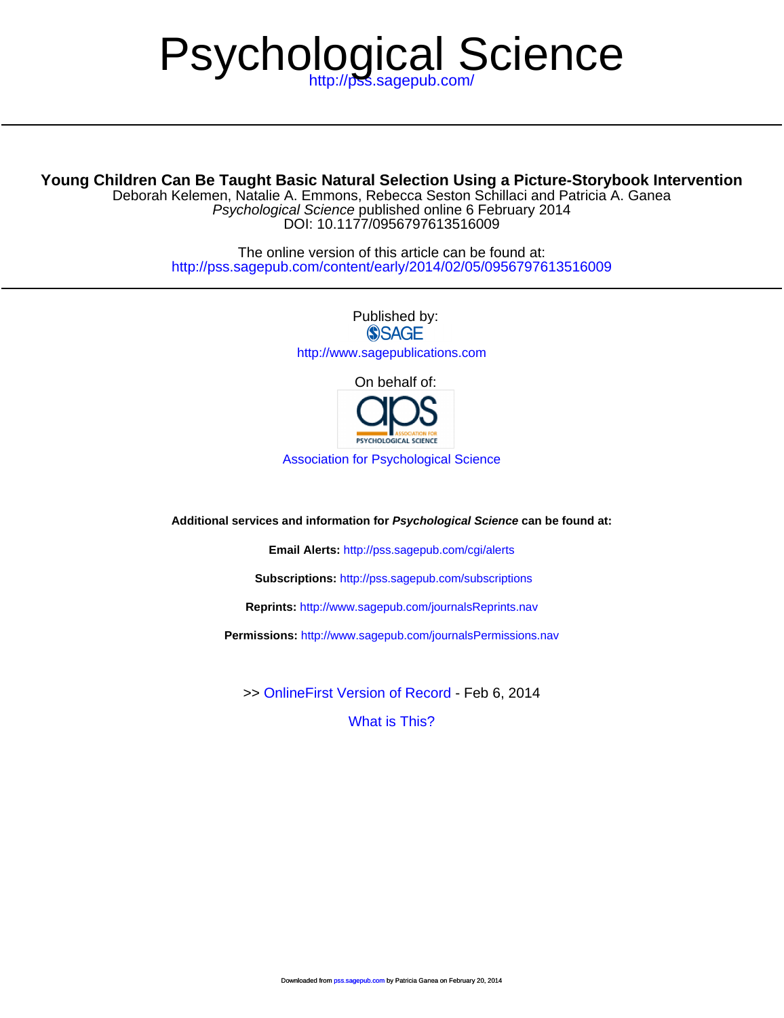# Psychol[ogical Sci](http://pss.sagepub.com/cgi/alerts)ence

### **Young Children Can Be Taught Ba[sic Natural Selection Using a Pict](http://www.sagepub.com/journalsReprints.nav)ure-Storybook Intervention**

D[OI: 10.1177/0956797613516009](http://www.sagepub.com/journalsPermissions.nav) Psychological Science published online 6 February 2014 Deborah Kelemen, Natalie A. Emmons, Rebecca Seston Schillaci and Patricia A. Ganea

> <http://pss.sagepub.com/content/early/2014/02/05/0956797613516009> The online version of this article can be found at:

> > Published by:<br>
> > SAGE <http://www.sagepublications.com> [On behalf of:](http://online.sagepub.com/site/sphelp/vorhelp.xhtml)



[Association for Psychological Science](http://www.psychologicalscience.org/)

**Additional services and information for Psychological Science can be found at:**

**Email Alerts:** <http://pss.sagepub.com/cgi/alerts>

**Subscriptions:** <http://pss.sagepub.com/subscriptions>

**Reprints:** <http://www.sagepub.com/journalsReprints.nav>

**Permissions:** <http://www.sagepub.com/journalsPermissions.nav>

>> [OnlineFirst Version of Record -](http://pss.sagepub.com/content/early/2014/02/05/0956797613516009.full.pdf) Feb 6, 2014

[What is This?](http://online.sagepub.com/site/sphelp/vorhelp.xhtml)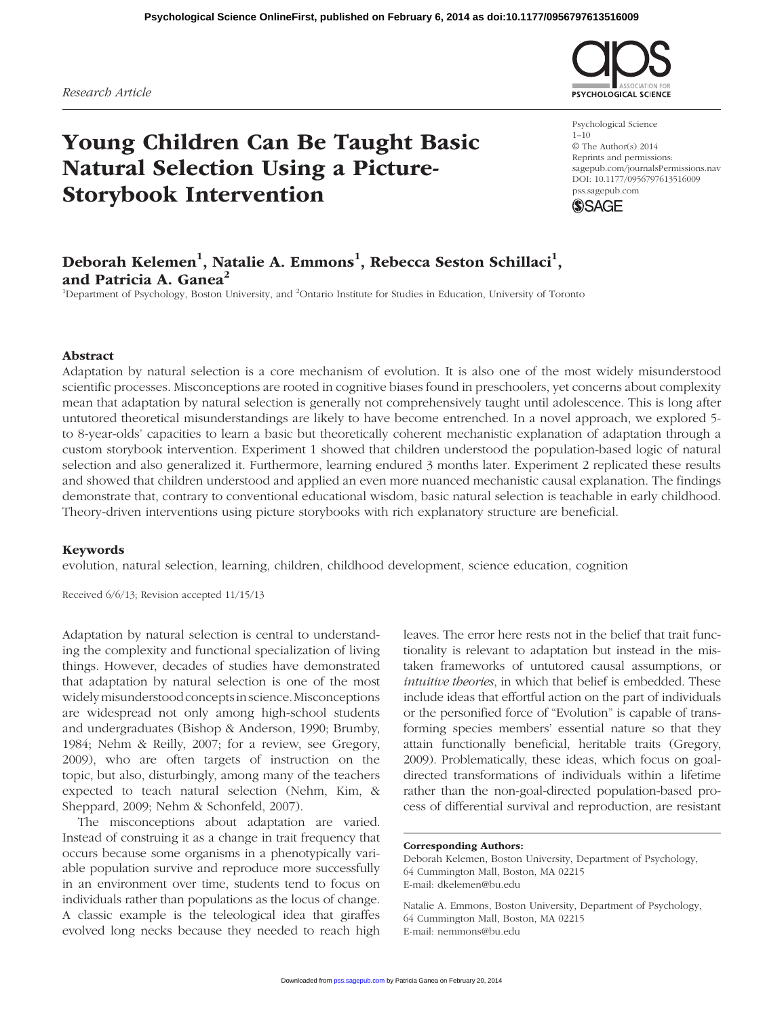*Research Article*

## Young Children Can Be Taught Basic Natural Selection Using a Picture-Storybook Intervention



Psychological Science 1–10 © The Author(s) 2014 Reprints and permissions: sagepub.com/journalsPermissions.nav DOI: 10.1177/0956797613516009 pss.sagepub.com



Deborah Kelemen<sup>1</sup>, Natalie A. Emmons<sup>1</sup>, Rebecca Seston Schillaci<sup>1</sup>, and Patricia A. Ganea<sup>2</sup>

<sup>1</sup>Department of Psychology, Boston University, and <sup>2</sup>Ontario Institute for Studies in Education, University of Toronto

#### Abstract

Adaptation by natural selection is a core mechanism of evolution. It is also one of the most widely misunderstood scientific processes. Misconceptions are rooted in cognitive biases found in preschoolers, yet concerns about complexity mean that adaptation by natural selection is generally not comprehensively taught until adolescence. This is long after untutored theoretical misunderstandings are likely to have become entrenched. In a novel approach, we explored 5 to 8-year-olds' capacities to learn a basic but theoretically coherent mechanistic explanation of adaptation through a custom storybook intervention. Experiment 1 showed that children understood the population-based logic of natural selection and also generalized it. Furthermore, learning endured 3 months later. Experiment 2 replicated these results and showed that children understood and applied an even more nuanced mechanistic causal explanation. The findings demonstrate that, contrary to conventional educational wisdom, basic natural selection is teachable in early childhood. Theory-driven interventions using picture storybooks with rich explanatory structure are beneficial.

#### Keywords

evolution, natural selection, learning, children, childhood development, science education, cognition

Received 6/6/13; Revision accepted 11/15/13

Adaptation by natural selection is central to understanding the complexity and functional specialization of living things. However, decades of studies have demonstrated that adaptation by natural selection is one of the most widely misunderstood concepts in science. Misconceptions are widespread not only among high-school students and undergraduates (Bishop & Anderson, 1990; Brumby, 1984; Nehm & Reilly, 2007; for a review, see Gregory, 2009), who are often targets of instruction on the topic, but also, disturbingly, among many of the teachers expected to teach natural selection (Nehm, Kim, & Sheppard, 2009; Nehm & Schonfeld, 2007).

The misconceptions about adaptation are varied. Instead of construing it as a change in trait frequency that occurs because some organisms in a phenotypically variable population survive and reproduce more successfully in an environment over time, students tend to focus on individuals rather than populations as the locus of change. A classic example is the teleological idea that giraffes evolved long necks because they needed to reach high leaves. The error here rests not in the belief that trait functionality is relevant to adaptation but instead in the mistaken frameworks of untutored causal assumptions, or *intuitive theories*, in which that belief is embedded. These include ideas that effortful action on the part of individuals or the personified force of "Evolution" is capable of transforming species members' essential nature so that they attain functionally beneficial, heritable traits (Gregory, 2009). Problematically, these ideas, which focus on goaldirected transformations of individuals within a lifetime rather than the non-goal-directed population-based process of differential survival and reproduction, are resistant

#### Corresponding Authors:

Deborah Kelemen, Boston University, Department of Psychology, 64 Cummington Mall, Boston, MA 02215 E-mail: dkelemen@bu.edu

Natalie A. Emmons, Boston University, Department of Psychology, 64 Cummington Mall, Boston, MA 02215 E-m[ail: nemmons](http://pss.sagepub.com/)@bu.edu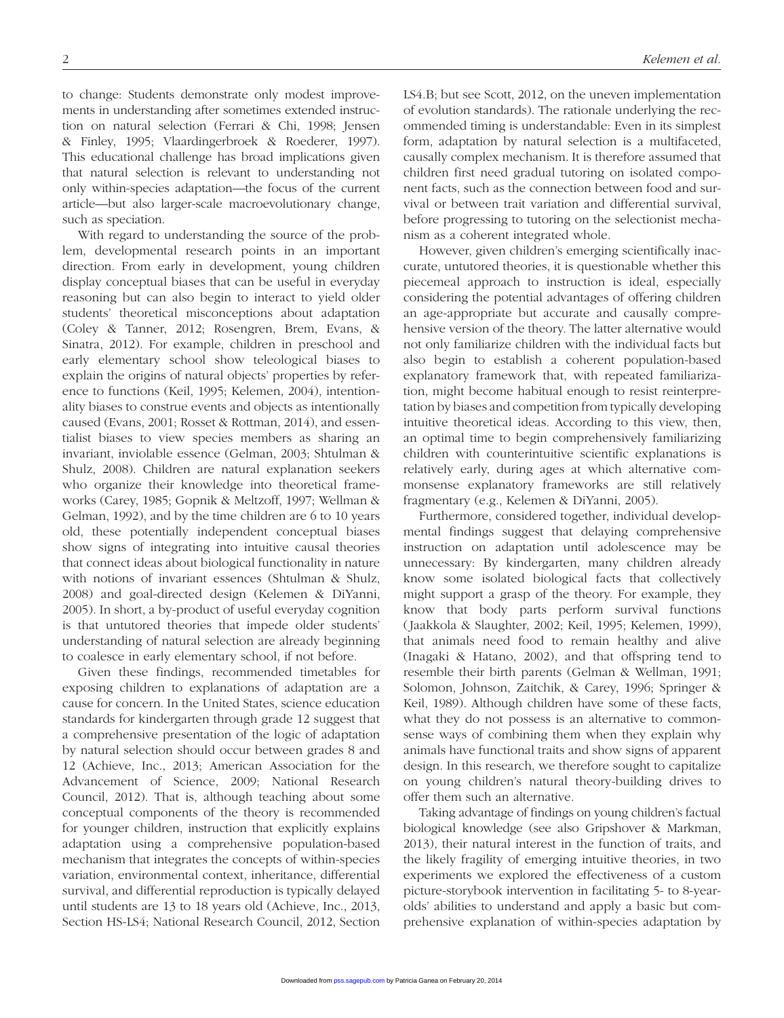to change: Students demonstrate only modest improvements in understanding after sometimes extended instruction on natural selection (Ferrari & Chi, 1998; Jensen & Finley, 1995; Vlaardingerbroek & Roederer, 1997). This educational challenge has broad implications given that natural selection is relevant to understanding not only within-species adaptation—the focus of the current article—but also larger-scale macroevolutionary change, such as speciation.

With regard to understanding the source of the problem, developmental research points in an important direction. From early in development, young children display conceptual biases that can be useful in everyday reasoning but can also begin to interact to yield older students' theoretical misconceptions about adaptation (Coley & Tanner, 2012; Rosengren, Brem, Evans, & Sinatra, 2012). For example, children in preschool and early elementary school show teleological biases to explain the origins of natural objects' properties by reference to functions (Keil, 1995; Kelemen, 2004), intentionality biases to construe events and objects as intentionally caused (Evans, 2001; Rosset & Rottman, 2014), and essentialist biases to view species members as sharing an invariant, inviolable essence (Gelman, 2003; Shtulman & Shulz, 2008). Children are natural explanation seekers who organize their knowledge into theoretical frameworks (Carey, 1985; Gopnik & Meltzoff, 1997; Wellman & Gelman, 1992), and by the time children are 6 to 10 years old, these potentially independent conceptual biases show signs of integrating into intuitive causal theories that connect ideas about biological functionality in nature with notions of invariant essences (Shtulman & Shulz, 2008) and goal-directed design (Kelemen & DiYanni, 2005). In short, a by-product of useful everyday cognition is that untutored theories that impede older students' understanding of natural selection are already beginning to coalesce in early elementary school, if not before.

Given these findings, recommended timetables for exposing children to explanations of adaptation are a cause for concern. In the United States, science education standards for kindergarten through grade 12 suggest that a comprehensive presentation of the logic of adaptation by natural selection should occur between grades 8 and 12 (Achieve, Inc., 2013; American Association for the Advancement of Science, 2009; National Research Council, 2012). That is, although teaching about some conceptual components of the theory is recommended for younger children, instruction that explicitly explains adaptation using a comprehensive population-based mechanism that integrates the concepts of within-species variation, environmental context, inheritance, differential survival, and differential reproduction is typically delayed until students are 13 to 18 years old (Achieve, Inc., 2013, Section HS-LS4; National Research Council, 2012, Section

LS4.B; but see Scott, 2012, on the uneven implementation of evolution standards). The rationale underlying the recommended timing is understandable: Even in its simplest form, adaptation by natural selection is a multifaceted, causally complex mechanism. It is therefore assumed that children first need gradual tutoring on isolated component facts, such as the connection between food and survival or between trait variation and differential survival, before progressing to tutoring on the selectionist mechanism as a coherent integrated whole.

However, given children's emerging scientifically inaccurate, untutored theories, it is questionable whether this piecemeal approach to instruction is ideal, especially considering the potential advantages of offering children an age-appropriate but accurate and causally comprehensive version of the theory. The latter alternative would not only familiarize children with the individual facts but also begin to establish a coherent population-based explanatory framework that, with repeated familiarization, might become habitual enough to resist reinterpretation by biases and competition from typically developing intuitive theoretical ideas. According to this view, then, an optimal time to begin comprehensively familiarizing children with counterintuitive scientific explanations is relatively early, during ages at which alternative commonsense explanatory frameworks are still relatively fragmentary (e.g., Kelemen & DiYanni, 2005).

Furthermore, considered together, individual developmental findings suggest that delaying comprehensive instruction on adaptation until adolescence may be unnecessary: By kindergarten, many children already know some isolated biological facts that collectively might support a grasp of the theory. For example, they know that body parts perform survival functions (Jaakkola & Slaughter, 2002; Keil, 1995; Kelemen, 1999), that animals need food to remain healthy and alive (Inagaki & Hatano, 2002), and that offspring tend to resemble their birth parents (Gelman & Wellman, 1991; Solomon, Johnson, Zaitchik, & Carey, 1996; Springer & Keil, 1989). Although children have some of these facts, what they do not possess is an alternative to commonsense ways of combining them when they explain why animals have functional traits and show signs of apparent design. In this research, we therefore sought to capitalize on young children's natural theory-building drives to offer them such an alternative.

Taking advantage of findings on young children's factual biological knowledge (see also Gripshover & Markman, 2013), their natural interest in the function of traits, and the likely fragility of emerging intuitive theories, in two experiments we explored the effectiveness of a custom picture-storybook intervention in facilitating 5- to 8-yearolds' abilities to understand and apply a basic but comprehensive explanation of within-species adaptation by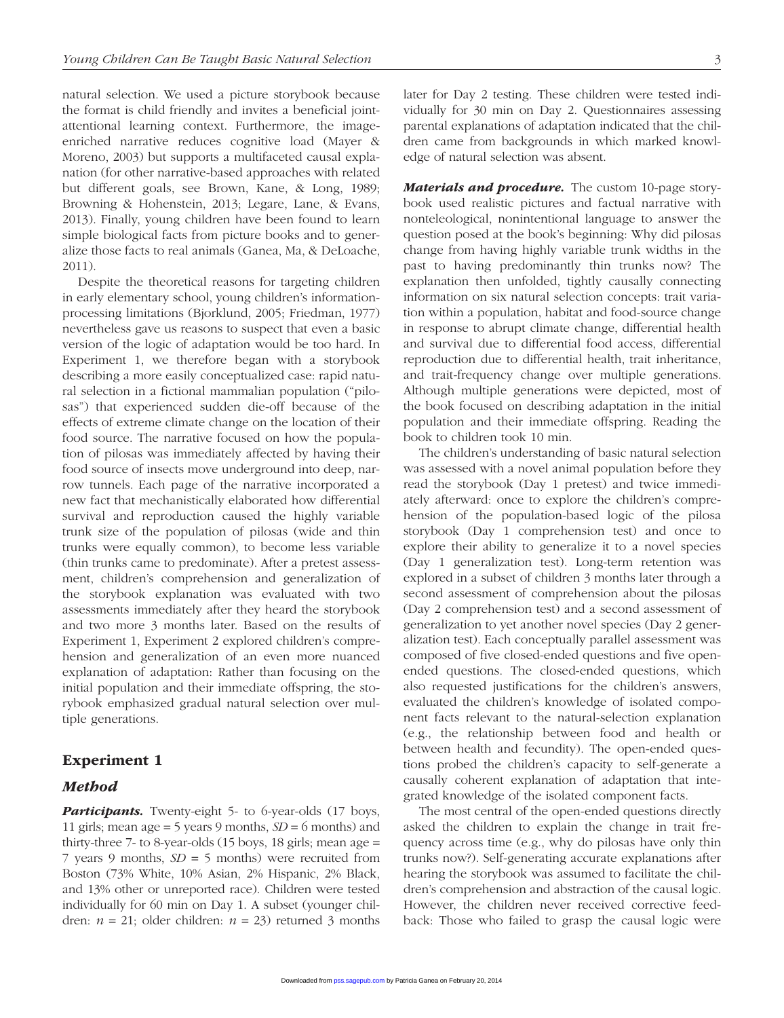natural selection. We used a picture storybook because the format is child friendly and invites a beneficial jointattentional learning context. Furthermore, the imageenriched narrative reduces cognitive load (Mayer & Moreno, 2003) but supports a multifaceted causal explanation (for other narrative-based approaches with related but different goals, see Brown, Kane, & Long, 1989; Browning & Hohenstein, 2013; Legare, Lane, & Evans, 2013). Finally, young children have been found to learn simple biological facts from picture books and to generalize those facts to real animals (Ganea, Ma, & DeLoache, 2011).

Despite the theoretical reasons for targeting children in early elementary school, young children's informationprocessing limitations (Bjorklund, 2005; Friedman, 1977) nevertheless gave us reasons to suspect that even a basic version of the logic of adaptation would be too hard. In Experiment 1, we therefore began with a storybook describing a more easily conceptualized case: rapid natural selection in a fictional mammalian population ("pilosas") that experienced sudden die-off because of the effects of extreme climate change on the location of their food source. The narrative focused on how the population of pilosas was immediately affected by having their food source of insects move underground into deep, narrow tunnels. Each page of the narrative incorporated a new fact that mechanistically elaborated how differential survival and reproduction caused the highly variable trunk size of the population of pilosas (wide and thin trunks were equally common), to become less variable (thin trunks came to predominate). After a pretest assessment, children's comprehension and generalization of the storybook explanation was evaluated with two assessments immediately after they heard the storybook and two more 3 months later. Based on the results of Experiment 1, Experiment 2 explored children's comprehension and generalization of an even more nuanced explanation of adaptation: Rather than focusing on the initial population and their immediate offspring, the storybook emphasized gradual natural selection over multiple generations.

#### Experiment 1

#### *Method*

**Participants.** Twenty-eight 5- to 6-year-olds (17 boys, 11 girls; mean age = 5 years 9 months, *SD* = 6 months) and thirty-three 7- to 8-year-olds (15 boys, 18 girls; mean age = 7 years 9 months, *SD* = 5 months) were recruited from Boston (73% White, 10% Asian, 2% Hispanic, 2% Black, and 13% other or unreported race). Children were tested individually for 60 min on Day 1. A subset (younger children:  $n = 21$ ; older children:  $n = 23$ ) returned 3 months later for Day 2 testing. These children were tested individually for 30 min on Day 2. Questionnaires assessing parental explanations of adaptation indicated that the children came from backgrounds in which marked knowledge of natural selection was absent.

*Materials and procedure.* The custom 10-page storybook used realistic pictures and factual narrative with nonteleological, nonintentional language to answer the question posed at the book's beginning: Why did pilosas change from having highly variable trunk widths in the past to having predominantly thin trunks now? The explanation then unfolded, tightly causally connecting information on six natural selection concepts: trait variation within a population, habitat and food-source change in response to abrupt climate change, differential health and survival due to differential food access, differential reproduction due to differential health, trait inheritance, and trait-frequency change over multiple generations. Although multiple generations were depicted, most of the book focused on describing adaptation in the initial population and their immediate offspring. Reading the book to children took 10 min.

The children's understanding of basic natural selection was assessed with a novel animal population before they read the storybook (Day 1 pretest) and twice immediately afterward: once to explore the children's comprehension of the population-based logic of the pilosa storybook (Day 1 comprehension test) and once to explore their ability to generalize it to a novel species (Day 1 generalization test). Long-term retention was explored in a subset of children 3 months later through a second assessment of comprehension about the pilosas (Day 2 comprehension test) and a second assessment of generalization to yet another novel species (Day 2 generalization test). Each conceptually parallel assessment was composed of five closed-ended questions and five openended questions. The closed-ended questions, which also requested justifications for the children's answers, evaluated the children's knowledge of isolated component facts relevant to the natural-selection explanation (e.g., the relationship between food and health or between health and fecundity). The open-ended questions probed the children's capacity to self-generate a causally coherent explanation of adaptation that integrated knowledge of the isolated component facts.

The most central of the open-ended questions directly asked the children to explain the change in trait frequency across time (e.g., why do pilosas have only thin trunks now?). Self-generating accurate explanations after hearing the storybook was assumed to facilitate the children's comprehension and abstraction of the causal logic. However, the children never received corrective feedback: Those who failed to grasp the causal logic were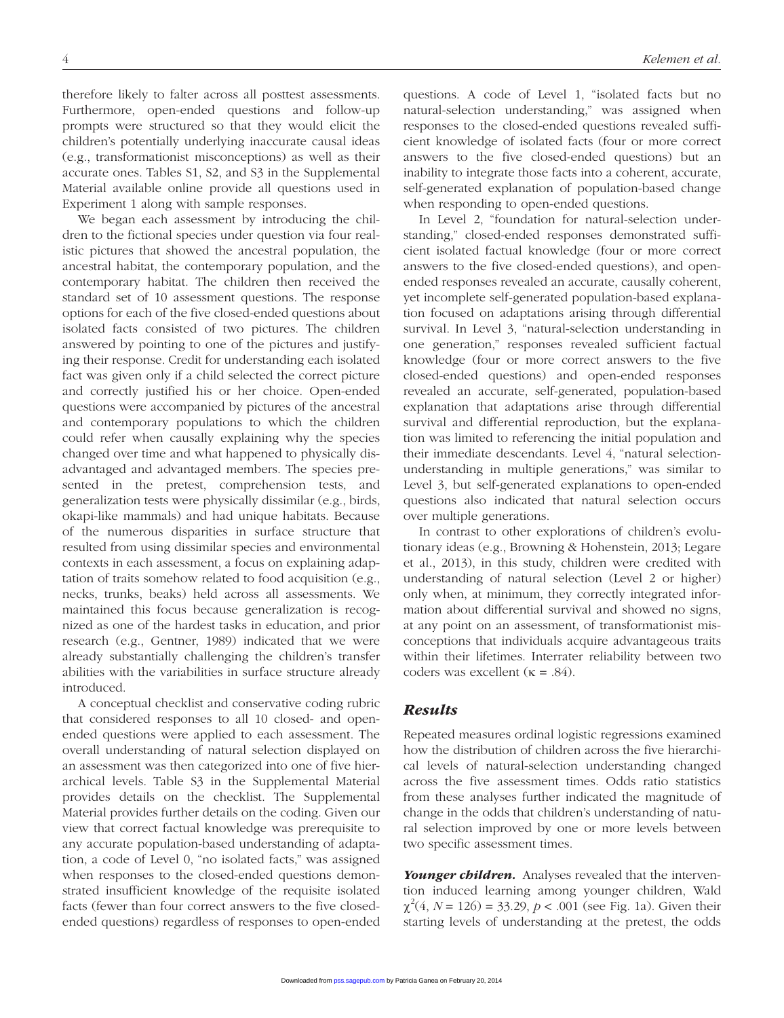therefore likely to falter across all posttest assessments. Furthermore, open-ended questions and follow-up prompts were structured so that they would elicit the children's potentially underlying inaccurate causal ideas (e.g., transformationist misconceptions) as well as their accurate ones. Tables S1, S2, and S3 in the Supplemental Material available online provide all questions used in Experiment 1 along with sample responses.

We began each assessment by introducing the children to the fictional species under question via four realistic pictures that showed the ancestral population, the ancestral habitat, the contemporary population, and the contemporary habitat. The children then received the standard set of 10 assessment questions. The response options for each of the five closed-ended questions about isolated facts consisted of two pictures. The children answered by pointing to one of the pictures and justifying their response. Credit for understanding each isolated fact was given only if a child selected the correct picture and correctly justified his or her choice. Open-ended questions were accompanied by pictures of the ancestral and contemporary populations to which the children could refer when causally explaining why the species changed over time and what happened to physically disadvantaged and advantaged members. The species presented in the pretest, comprehension tests, and generalization tests were physically dissimilar (e.g., birds, okapi-like mammals) and had unique habitats. Because of the numerous disparities in surface structure that resulted from using dissimilar species and environmental contexts in each assessment, a focus on explaining adaptation of traits somehow related to food acquisition (e.g., necks, trunks, beaks) held across all assessments. We maintained this focus because generalization is recognized as one of the hardest tasks in education, and prior research (e.g., Gentner, 1989) indicated that we were already substantially challenging the children's transfer abilities with the variabilities in surface structure already introduced.

A conceptual checklist and conservative coding rubric that considered responses to all 10 closed- and openended questions were applied to each assessment. The overall understanding of natural selection displayed on an assessment was then categorized into one of five hierarchical levels. Table S3 in the Supplemental Material provides details on the checklist. The Supplemental Material provides further details on the coding. Given our view that correct factual knowledge was prerequisite to any accurate population-based understanding of adaptation, a code of Level 0, "no isolated facts," was assigned when responses to the closed-ended questions demonstrated insufficient knowledge of the requisite isolated facts (fewer than four correct answers to the five closedended questions) regardless of responses to open-ended

questions. A code of Level 1, "isolated facts but no natural-selection understanding," was assigned when responses to the closed-ended questions revealed sufficient knowledge of isolated facts (four or more correct answers to the five closed-ended questions) but an inability to integrate those facts into a coherent, accurate, self-generated explanation of population-based change when responding to open-ended questions.

In Level 2, "foundation for natural-selection understanding," closed-ended responses demonstrated sufficient isolated factual knowledge (four or more correct answers to the five closed-ended questions), and openended responses revealed an accurate, causally coherent, yet incomplete self-generated population-based explanation focused on adaptations arising through differential survival. In Level 3, "natural-selection understanding in one generation," responses revealed sufficient factual knowledge (four or more correct answers to the five closed-ended questions) and open-ended responses revealed an accurate, self-generated, population-based explanation that adaptations arise through differential survival and differential reproduction, but the explanation was limited to referencing the initial population and their immediate descendants. Level 4, "natural selectionunderstanding in multiple generations," was similar to Level 3, but self-generated explanations to open-ended questions also indicated that natural selection occurs over multiple generations.

In contrast to other explorations of children's evolutionary ideas (e.g., Browning & Hohenstein, 2013; Legare et al., 2013), in this study, children were credited with understanding of natural selection (Level 2 or higher) only when, at minimum, they correctly integrated information about differential survival and showed no signs, at any point on an assessment, of transformationist misconceptions that individuals acquire advantageous traits within their lifetimes. Interrater reliability between two coders was excellent  $(\kappa = .84)$ .

#### *Results*

Repeated measures ordinal logistic regressions examined how the distribution of children across the five hierarchical levels of natural-selection understanding changed across the five assessment times. Odds ratio statistics from these analyses further indicated the magnitude of change in the odds that children's understanding of natural selection improved by one or more levels between two specific assessment times.

*Younger children.* Analyses revealed that the intervention induced learning among younger children, Wald  $\chi^2(4, N = 126) = 33.29, p < .001$  (see Fig. 1a). Given their starting levels of understanding at the pretest, the odds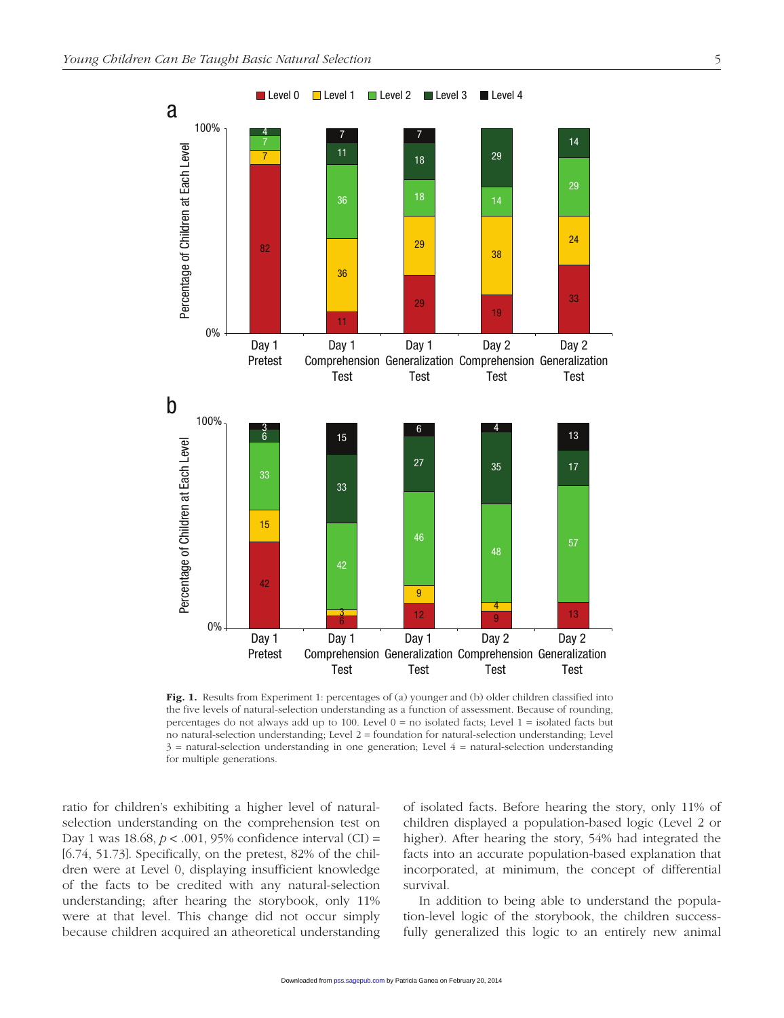

Fig. 1. Results from Experiment 1: percentages of (a) younger and (b) older children classified into the five levels of natural-selection understanding as a function of assessment. Because of rounding, percentages do not always add up to 100. Level  $0 =$  no isolated facts; Level  $1 =$  isolated facts but no natural-selection understanding; Level 2 = foundation for natural-selection understanding; Level  $3$  = natural-selection understanding in one generation; Level  $4$  = natural-selection understanding for multiple generations.

ratio for children's exhibiting a higher level of naturalselection understanding on the comprehension test on Day 1 was 18.68, *p* < .001, 95% confidence interval (CI) = [6.74, 51.73]. Specifically, on the pretest, 82% of the children were at Level 0, displaying insufficient knowledge of the facts to be credited with any natural-selection understanding; after hearing the storybook, only 11% were at that level. This change did not occur simply because children acquired an atheoretical understanding of isolated facts. Before hearing the story, only 11% of children displayed a population-based logic (Level 2 or higher). After hearing the story, 54% had integrated the facts into an accurate population-based explanation that incorporated, at minimum, the concept of differential survival.

In addition to being able to understand the population-level logic of the storybook, the children successfull[y generaliz](http://pss.sagepub.com/)ed this logic to an entirely new animal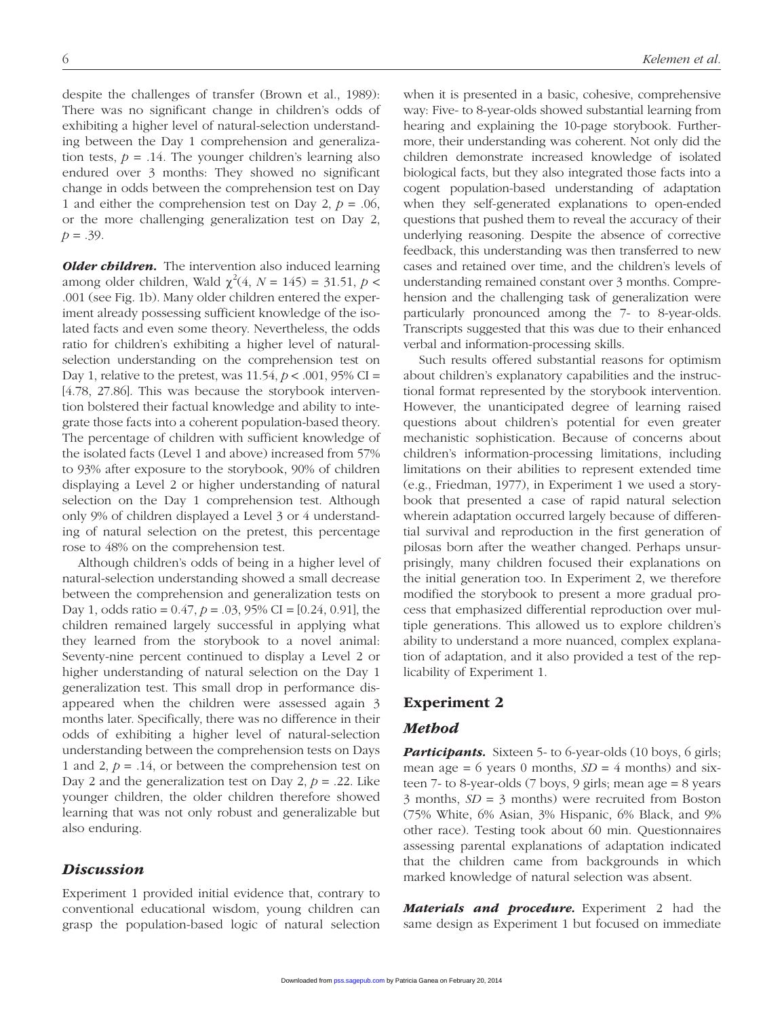despite the challenges of transfer (Brown et al., 1989): There was no significant change in children's odds of exhibiting a higher level of natural-selection understanding between the Day 1 comprehension and generalization tests,  $p = .14$ . The younger children's learning also endured over 3 months: They showed no significant change in odds between the comprehension test on Day 1 and either the comprehension test on Day 2,  $p = .06$ , or the more challenging generalization test on Day 2, *p* = .39.

*Older children.* The intervention also induced learning among older children, Wald  $\chi^2(4, N = 145) = 31.51, p <$ .001 (see Fig. 1b). Many older children entered the experiment already possessing sufficient knowledge of the isolated facts and even some theory. Nevertheless, the odds ratio for children's exhibiting a higher level of naturalselection understanding on the comprehension test on Day 1, relative to the pretest, was  $11.54$ ,  $p < .001$ ,  $95\%$  CI = [4.78, 27.86]. This was because the storybook intervention bolstered their factual knowledge and ability to integrate those facts into a coherent population-based theory. The percentage of children with sufficient knowledge of the isolated facts (Level 1 and above) increased from 57% to 93% after exposure to the storybook, 90% of children displaying a Level 2 or higher understanding of natural selection on the Day 1 comprehension test. Although only 9% of children displayed a Level 3 or 4 understanding of natural selection on the pretest, this percentage rose to 48% on the comprehension test.

Although children's odds of being in a higher level of natural-selection understanding showed a small decrease between the comprehension and generalization tests on Day 1, odds ratio = 0.47, *p* = .03, 95% CI = [0.24, 0.91], the children remained largely successful in applying what they learned from the storybook to a novel animal: Seventy-nine percent continued to display a Level 2 or higher understanding of natural selection on the Day 1 generalization test. This small drop in performance disappeared when the children were assessed again 3 months later. Specifically, there was no difference in their odds of exhibiting a higher level of natural-selection understanding between the comprehension tests on Days 1 and 2,  $p = .14$ , or between the comprehension test on Day 2 and the generalization test on Day 2,  $p = 0.22$ . Like younger children, the older children therefore showed learning that was not only robust and generalizable but also enduring.

#### *Discussion*

Experiment 1 provided initial evidence that, contrary to conventional educational wisdom, young children can grasp the population-based logic of natural selection when it is presented in a basic, cohesive, comprehensive way: Five- to 8-year-olds showed substantial learning from hearing and explaining the 10-page storybook. Furthermore, their understanding was coherent. Not only did the children demonstrate increased knowledge of isolated biological facts, but they also integrated those facts into a cogent population-based understanding of adaptation when they self-generated explanations to open-ended questions that pushed them to reveal the accuracy of their underlying reasoning. Despite the absence of corrective feedback, this understanding was then transferred to new cases and retained over time, and the children's levels of understanding remained constant over 3 months. Comprehension and the challenging task of generalization were particularly pronounced among the 7- to 8-year-olds. Transcripts suggested that this was due to their enhanced verbal and information-processing skills.

Such results offered substantial reasons for optimism about children's explanatory capabilities and the instructional format represented by the storybook intervention. However, the unanticipated degree of learning raised questions about children's potential for even greater mechanistic sophistication. Because of concerns about children's information-processing limitations, including limitations on their abilities to represent extended time (e.g., Friedman, 1977), in Experiment 1 we used a storybook that presented a case of rapid natural selection wherein adaptation occurred largely because of differential survival and reproduction in the first generation of pilosas born after the weather changed. Perhaps unsurprisingly, many children focused their explanations on the initial generation too. In Experiment 2, we therefore modified the storybook to present a more gradual process that emphasized differential reproduction over multiple generations. This allowed us to explore children's ability to understand a more nuanced, complex explanation of adaptation, and it also provided a test of the replicability of Experiment 1.

#### Experiment 2

#### *Method*

**Participants.** Sixteen 5- to 6-year-olds (10 boys, 6 girls; mean age  $= 6$  years 0 months,  $SD = 4$  months) and sixteen 7- to 8-year-olds (7 boys, 9 girls; mean age = 8 years 3 months, *SD* = 3 months) were recruited from Boston (75% White, 6% Asian, 3% Hispanic, 6% Black, and 9% other race). Testing took about 60 min. Questionnaires assessing parental explanations of adaptation indicated that the children came from backgrounds in which marked knowledge of natural selection was absent.

*Materials and procedure.* Experiment 2 had the same design as Experiment 1 but focused on immediate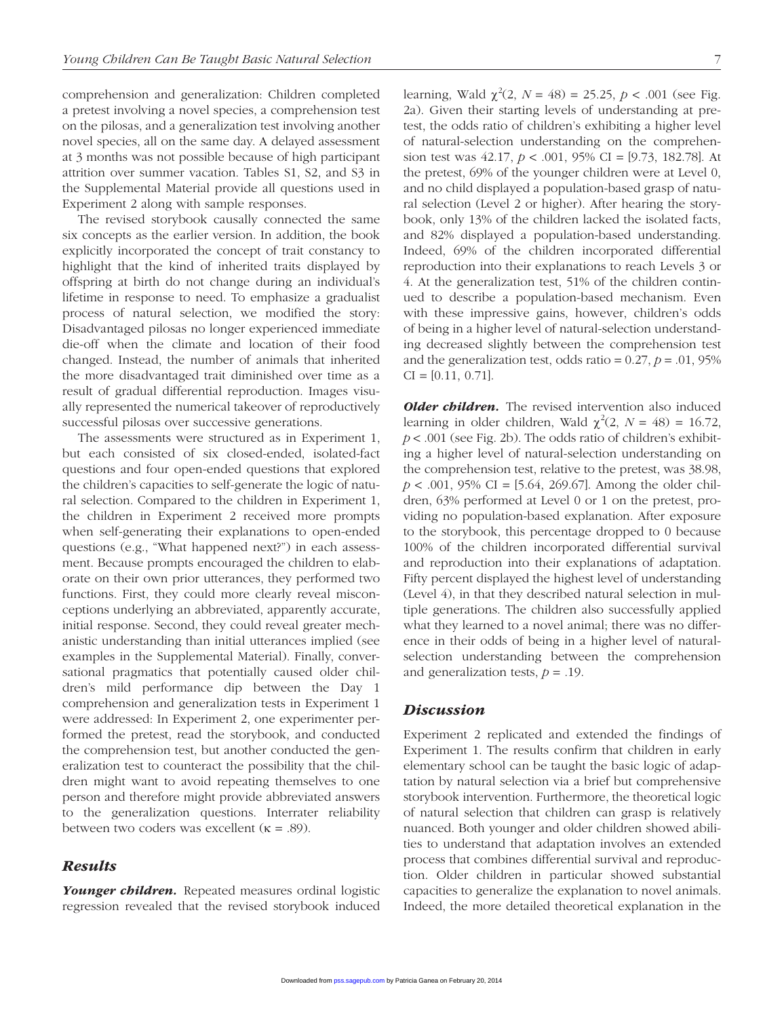comprehension and generalization: Children completed a pretest involving a novel species, a comprehension test on the pilosas, and a generalization test involving another novel species, all on the same day. A delayed assessment at 3 months was not possible because of high participant attrition over summer vacation. Tables S1, S2, and S3 in the Supplemental Material provide all questions used in Experiment 2 along with sample responses.

The revised storybook causally connected the same six concepts as the earlier version. In addition, the book explicitly incorporated the concept of trait constancy to highlight that the kind of inherited traits displayed by offspring at birth do not change during an individual's lifetime in response to need. To emphasize a gradualist process of natural selection, we modified the story: Disadvantaged pilosas no longer experienced immediate die-off when the climate and location of their food changed. Instead, the number of animals that inherited the more disadvantaged trait diminished over time as a result of gradual differential reproduction. Images visually represented the numerical takeover of reproductively successful pilosas over successive generations.

The assessments were structured as in Experiment 1, but each consisted of six closed-ended, isolated-fact questions and four open-ended questions that explored the children's capacities to self-generate the logic of natural selection. Compared to the children in Experiment 1, the children in Experiment 2 received more prompts when self-generating their explanations to open-ended questions (e.g., "What happened next?") in each assessment. Because prompts encouraged the children to elaborate on their own prior utterances, they performed two functions. First, they could more clearly reveal misconceptions underlying an abbreviated, apparently accurate, initial response. Second, they could reveal greater mechanistic understanding than initial utterances implied (see examples in the Supplemental Material). Finally, conversational pragmatics that potentially caused older children's mild performance dip between the Day 1 comprehension and generalization tests in Experiment 1 were addressed: In Experiment 2, one experimenter performed the pretest, read the storybook, and conducted the comprehension test, but another conducted the generalization test to counteract the possibility that the children might want to avoid repeating themselves to one person and therefore might provide abbreviated answers to the generalization questions. Interrater reliability between two coders was excellent ( $\kappa = .89$ ).

#### *Results*

*Younger children.* Repeated measures ordinal logistic regression revealed that the revised storybook induced

learning, Wald  $\chi^2(2, N = 48) = 25.25, p < .001$  (see Fig. 2a). Given their starting levels of understanding at pretest, the odds ratio of children's exhibiting a higher level of natural-selection understanding on the comprehension test was 42.17, *p* < .001, 95% CI = [9.73, 182.78]. At the pretest, 69% of the younger children were at Level 0, and no child displayed a population-based grasp of natural selection (Level 2 or higher). After hearing the storybook, only 13% of the children lacked the isolated facts, and 82% displayed a population-based understanding. Indeed, 69% of the children incorporated differential reproduction into their explanations to reach Levels 3 or 4. At the generalization test, 51% of the children continued to describe a population-based mechanism. Even with these impressive gains, however, children's odds of being in a higher level of natural-selection understanding decreased slightly between the comprehension test and the generalization test, odds ratio =  $0.27$ ,  $p = .01$ , 95%  $CI = [0.11, 0.71].$ 

*Older children.* The revised intervention also induced learning in older children, Wald  $\chi^2(2, N = 48) = 16.72$ , *p* < .001 (see Fig. 2b). The odds ratio of children's exhibiting a higher level of natural-selection understanding on the comprehension test, relative to the pretest, was 38.98,  $p < .001$ , 95% CI = [5.64, 269.67]. Among the older children, 63% performed at Level 0 or 1 on the pretest, providing no population-based explanation. After exposure to the storybook, this percentage dropped to 0 because 100% of the children incorporated differential survival and reproduction into their explanations of adaptation. Fifty percent displayed the highest level of understanding (Level 4), in that they described natural selection in multiple generations. The children also successfully applied what they learned to a novel animal; there was no difference in their odds of being in a higher level of naturalselection understanding between the comprehension and generalization tests,  $p = .19$ .

#### *Discussion*

Experiment 2 replicated and extended the findings of Experiment 1. The results confirm that children in early elementary school can be taught the basic logic of adaptation by natural selection via a brief but comprehensive storybook intervention. Furthermore, the theoretical logic of natural selection that children can grasp is relatively nuanced. Both younger and older children showed abilities to understand that adaptation involves an extended process that combines differential survival and reproduction. Older children in particular showed substantial capacities to generalize the explanation to novel animals. Indeed, the more detailed theoretical explanation in the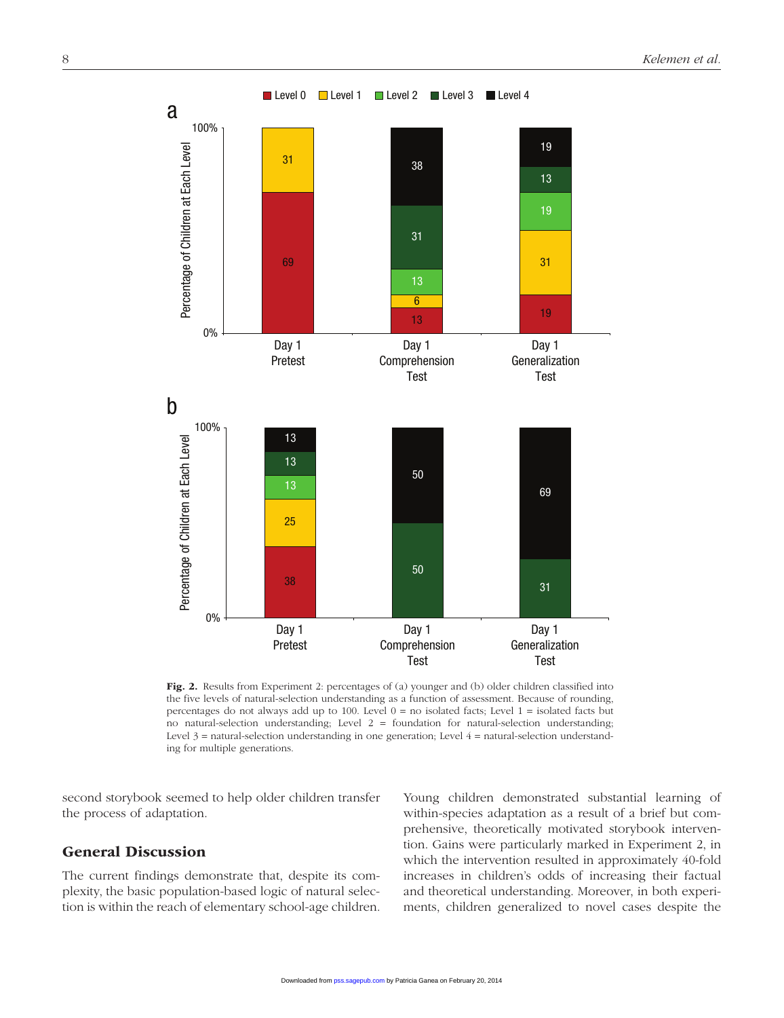

Fig. 2. Results from Experiment 2: percentages of (a) younger and (b) older children classified into the five levels of natural-selection understanding as a function of assessment. Because of rounding, percentages do not always add up to 100. Level 0 = no isolated facts; Level 1 = isolated facts but no natural-selection understanding; Level  $2 =$  foundation for natural-selection understanding; Level  $3$  = natural-selection understanding in one generation; Level  $4$  = natural-selection understanding for multiple generations.

second storybook seemed to help older children transfer the process of adaptation.

#### General Discussion

The current findings demonstrate that, despite its complexity, the basic population-based logic of natural selection is within the reach of elementary school-age children. Young children demonstrated substantial learning of within-species adaptation as a result of a brief but comprehensive, theoretically motivated storybook intervention. Gains were particularly marked in Experiment 2, in which the intervention resulted in approximately 40-fold increases in children's odds of increasing their factual and theoretical understanding. Moreover, in both experiments, children generalized to novel cases despite the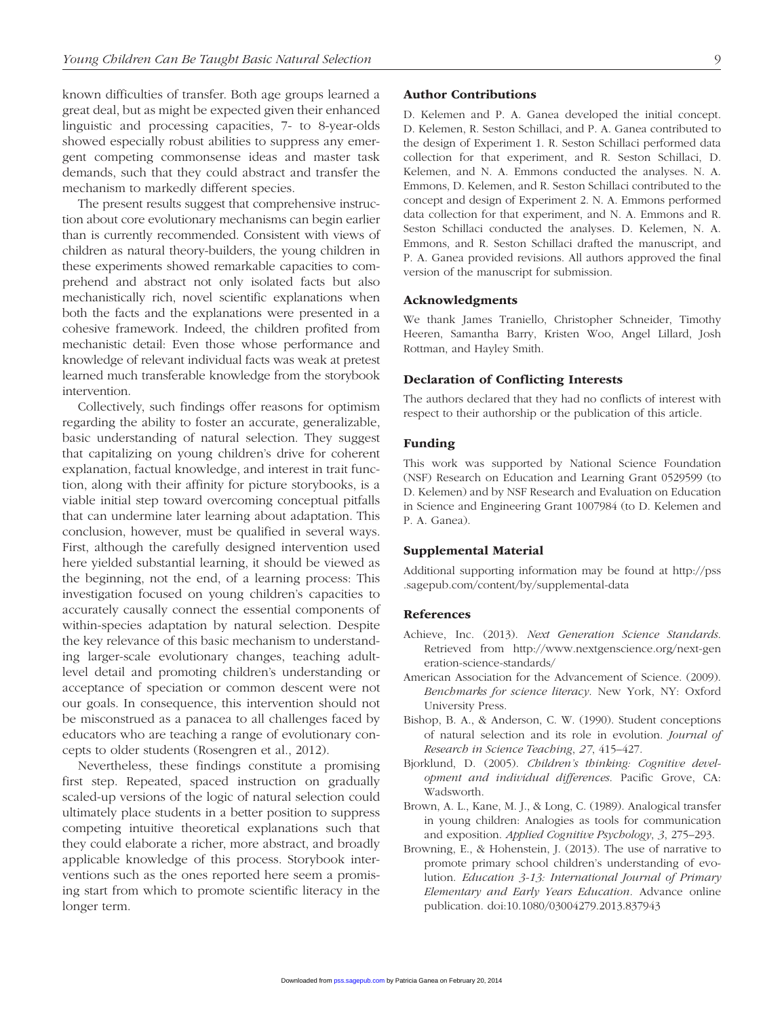known difficulties of transfer. Both age groups learned a great deal, but as might be expected given their enhanced linguistic and processing capacities, 7- to 8-year-olds showed especially robust abilities to suppress any emergent competing commonsense ideas and master task demands, such that they could abstract and transfer the mechanism to markedly different species.

The present results suggest that comprehensive instruction about core evolutionary mechanisms can begin earlier than is currently recommended. Consistent with views of children as natural theory-builders, the young children in these experiments showed remarkable capacities to comprehend and abstract not only isolated facts but also mechanistically rich, novel scientific explanations when both the facts and the explanations were presented in a cohesive framework. Indeed, the children profited from mechanistic detail: Even those whose performance and knowledge of relevant individual facts was weak at pretest learned much transferable knowledge from the storybook intervention.

Collectively, such findings offer reasons for optimism regarding the ability to foster an accurate, generalizable, basic understanding of natural selection. They suggest that capitalizing on young children's drive for coherent explanation, factual knowledge, and interest in trait function, along with their affinity for picture storybooks, is a viable initial step toward overcoming conceptual pitfalls that can undermine later learning about adaptation. This conclusion, however, must be qualified in several ways. First, although the carefully designed intervention used here yielded substantial learning, it should be viewed as the beginning, not the end, of a learning process: This investigation focused on young children's capacities to accurately causally connect the essential components of within-species adaptation by natural selection. Despite the key relevance of this basic mechanism to understanding larger-scale evolutionary changes, teaching adultlevel detail and promoting children's understanding or acceptance of speciation or common descent were not our goals. In consequence, this intervention should not be misconstrued as a panacea to all challenges faced by educators who are teaching a range of evolutionary concepts to older students (Rosengren et al., 2012).

Nevertheless, these findings constitute a promising first step. Repeated, spaced instruction on gradually scaled-up versions of the logic of natural selection could ultimately place students in a better position to suppress competing intuitive theoretical explanations such that they could elaborate a richer, more abstract, and broadly applicable knowledge of this process. Storybook interventions such as the ones reported here seem a promising start from which to promote scientific literacy in the longer term.

#### Author Contributions

D. Kelemen and P. A. Ganea developed the initial concept. D. Kelemen, R. Seston Schillaci, and P. A. Ganea contributed to the design of Experiment 1. R. Seston Schillaci performed data collection for that experiment, and R. Seston Schillaci, D. Kelemen, and N. A. Emmons conducted the analyses. N. A. Emmons, D. Kelemen, and R. Seston Schillaci contributed to the concept and design of Experiment 2. N. A. Emmons performed data collection for that experiment, and N. A. Emmons and R. Seston Schillaci conducted the analyses. D. Kelemen, N. A. Emmons, and R. Seston Schillaci drafted the manuscript, and P. A. Ganea provided revisions. All authors approved the final version of the manuscript for submission.

#### Acknowledgments

We thank James Traniello, Christopher Schneider, Timothy Heeren, Samantha Barry, Kristen Woo, Angel Lillard, Josh Rottman, and Hayley Smith.

#### Declaration of Conflicting Interests

The authors declared that they had no conflicts of interest with respect to their authorship or the publication of this article.

#### Funding

This work was supported by National Science Foundation (NSF) Research on Education and Learning Grant 0529599 (to D. Kelemen) and by NSF Research and Evaluation on Education in Science and Engineering Grant 1007984 (to D. Kelemen and P. A. Ganea).

#### Supplemental Material

Additional supporting information may be found at http://pss .sagepub.com/content/by/supplemental-data

#### References

- Achieve, Inc. (2013). *Next Generation Science Standards*. Retrieved from http://www.nextgenscience.org/next-gen eration-science-standards/
- American Association for the Advancement of Science. (2009). *Benchmarks for science literacy*. New York, NY: Oxford University Press.
- Bishop, B. A., & Anderson, C. W. (1990). Student conceptions of natural selection and its role in evolution. *Journal of Research in Science Teaching*, *27*, 415–427.
- Bjorklund, D. (2005). *Children's thinking: Cognitive development and individual differences*. Pacific Grove, CA: Wadsworth.
- Brown, A. L., Kane, M. J., & Long, C. (1989). Analogical transfer in young children: Analogies as tools for communication and exposition. *Applied Cognitive Psychology*, *3*, 275–293.
- Browning, E., & Hohenstein, J. (2013). The use of narrative to promote primary school children's understanding of evolution. *Education 3-13: International Journal of Primary Elementary and Early Years Education*. Advance online publication. doi:10.1080/03004279.2013.837943